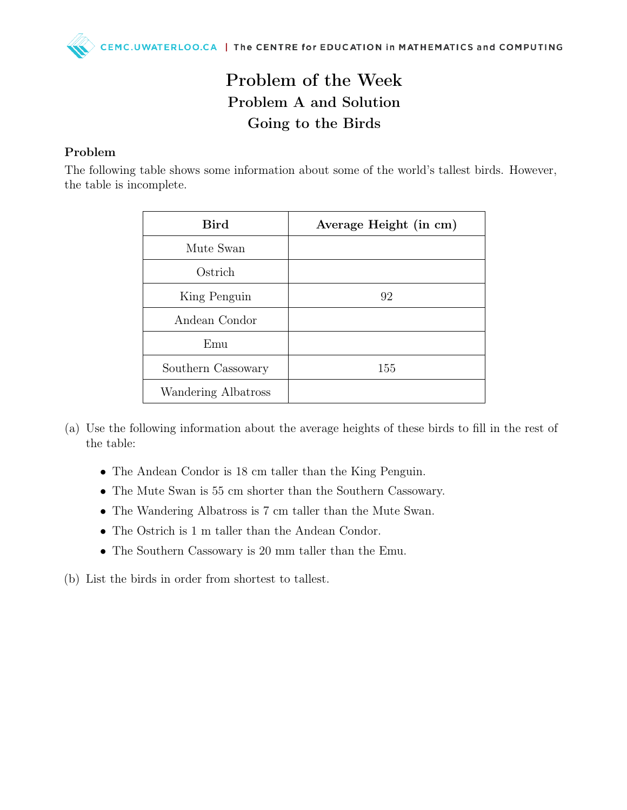## Problem of the Week Problem A and Solution Going to the Birds

## Problem

The following table shows some information about some of the world's tallest birds. However, the table is incomplete.

| <b>Bird</b>         | Average Height (in cm) |
|---------------------|------------------------|
| Mute Swan           |                        |
| Ostrich             |                        |
| King Penguin        | 92                     |
| Andean Condor       |                        |
| Emu                 |                        |
| Southern Cassowary  | 155                    |
| Wandering Albatross |                        |

- (a) Use the following information about the average heights of these birds to fill in the rest of the table:
	- The Andean Condor is 18 cm taller than the King Penguin.
	- The Mute Swan is 55 cm shorter than the Southern Cassowary.
	- The Wandering Albatross is 7 cm taller than the Mute Swan.
	- The Ostrich is 1 m taller than the Andean Condor.
	- The Southern Cassowary is 20 mm taller than the Emu.
- (b) List the birds in order from shortest to tallest.